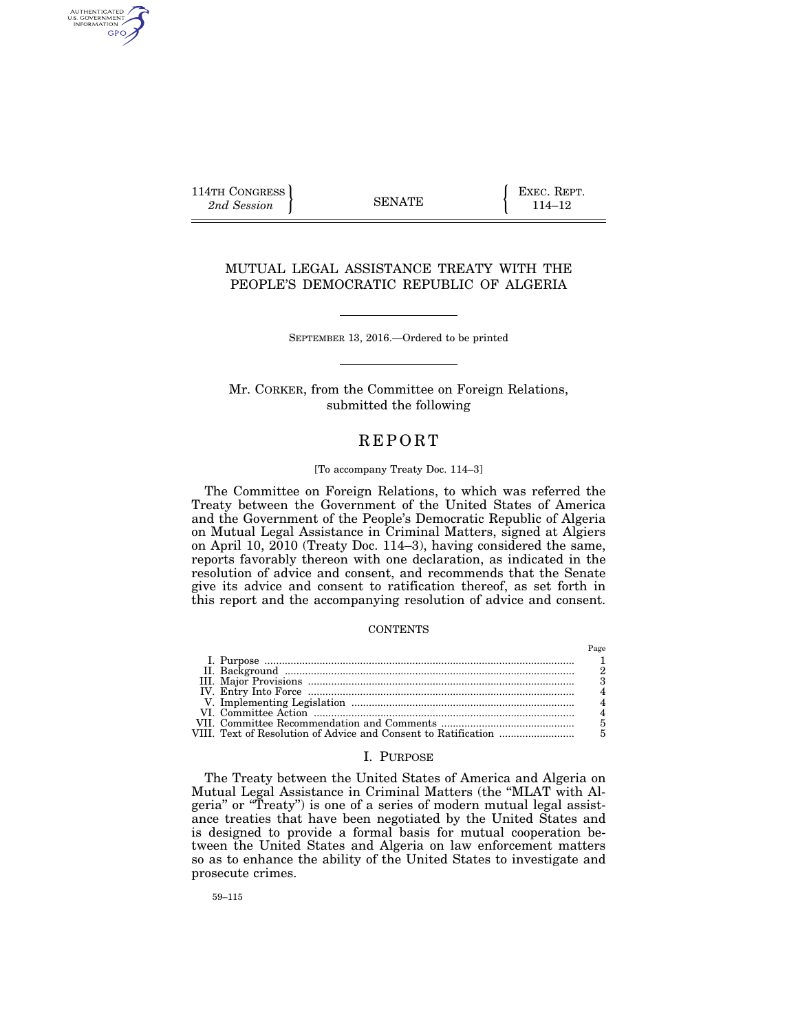114TH CONGRESS **and Session EXEC. REPT.**  $\left\{\n \begin{array}{c}\n \text{EXEC.} \text{REPT.} \\
114-12\n \end{array}\n\right\}$ 

AUTHENTICATED<br>U.S. GOVERNMENT<br>INFORMATION GPO

# MUTUAL LEGAL ASSISTANCE TREATY WITH THE PEOPLE'S DEMOCRATIC REPUBLIC OF ALGERIA

SEPTEMBER 13, 2016.—Ordered to be printed

Mr. CORKER, from the Committee on Foreign Relations, submitted the following

# **REPORT**

# [To accompany Treaty Doc. 114–3]

The Committee on Foreign Relations, to which was referred the Treaty between the Government of the United States of America and the Government of the People's Democratic Republic of Algeria on Mutual Legal Assistance in Criminal Matters, signed at Algiers on April 10, 2010 (Treaty Doc. 114–3), having considered the same, reports favorably thereon with one declaration, as indicated in the resolution of advice and consent, and recommends that the Senate give its advice and consent to ratification thereof, as set forth in this report and the accompanying resolution of advice and consent.

### **CONTENTS**

### I. PURPOSE

The Treaty between the United States of America and Algeria on Mutual Legal Assistance in Criminal Matters (the ''MLAT with Algeria'' or ''Treaty'') is one of a series of modern mutual legal assistance treaties that have been negotiated by the United States and is designed to provide a formal basis for mutual cooperation between the United States and Algeria on law enforcement matters so as to enhance the ability of the United States to investigate and prosecute crimes.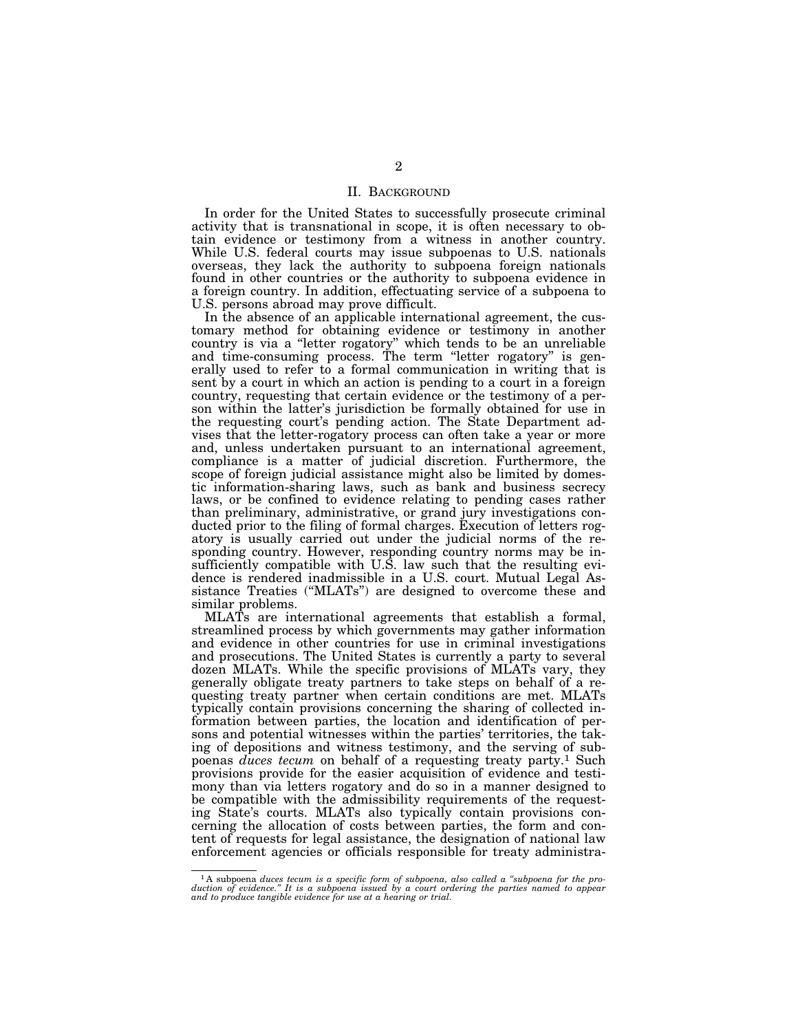### II. BACKGROUND

In order for the United States to successfully prosecute criminal activity that is transnational in scope, it is often necessary to obtain evidence or testimony from a witness in another country. While U.S. federal courts may issue subpoenas to U.S. nationals overseas, they lack the authority to subpoena foreign nationals found in other countries or the authority to subpoena evidence in a foreign country. In addition, effectuating service of a subpoena to U.S. persons abroad may prove difficult.

In the absence of an applicable international agreement, the customary method for obtaining evidence or testimony in another country is via a ''letter rogatory'' which tends to be an unreliable and time-consuming process. The term ''letter rogatory'' is generally used to refer to a formal communication in writing that is sent by a court in which an action is pending to a court in a foreign country, requesting that certain evidence or the testimony of a person within the latter's jurisdiction be formally obtained for use in the requesting court's pending action. The State Department advises that the letter-rogatory process can often take a year or more and, unless undertaken pursuant to an international agreement, compliance is a matter of judicial discretion. Furthermore, the scope of foreign judicial assistance might also be limited by domestic information-sharing laws, such as bank and business secrecy laws, or be confined to evidence relating to pending cases rather than preliminary, administrative, or grand jury investigations conducted prior to the filing of formal charges. Execution of letters rogatory is usually carried out under the judicial norms of the responding country. However, responding country norms may be insufficiently compatible with U.S. law such that the resulting evidence is rendered inadmissible in a U.S. court. Mutual Legal Assistance Treaties ("MLATs") are designed to overcome these and similar problems.

MLATs are international agreements that establish a formal, streamlined process by which governments may gather information and evidence in other countries for use in criminal investigations and prosecutions. The United States is currently a party to several dozen MLATs. While the specific provisions of MLATs vary, they generally obligate treaty partners to take steps on behalf of a requesting treaty partner when certain conditions are met. MLATs typically contain provisions concerning the sharing of collected information between parties, the location and identification of persons and potential witnesses within the parties' territories, the taking of depositions and witness testimony, and the serving of subpoenas *duces tecum* on behalf of a requesting treaty party.1 Such provisions provide for the easier acquisition of evidence and testimony than via letters rogatory and do so in a manner designed to be compatible with the admissibility requirements of the requesting State's courts. MLATs also typically contain provisions concerning the allocation of costs between parties, the form and content of requests for legal assistance, the designation of national law enforcement agencies or officials responsible for treaty administra-

<sup>&</sup>lt;sup>1</sup>A subpoena duces tecum is a specific form of subpoena, also called a "subpoena for the production of evidence." It is a subpoena issued by a court ordering the parties named to appear and to produce tangible evidence f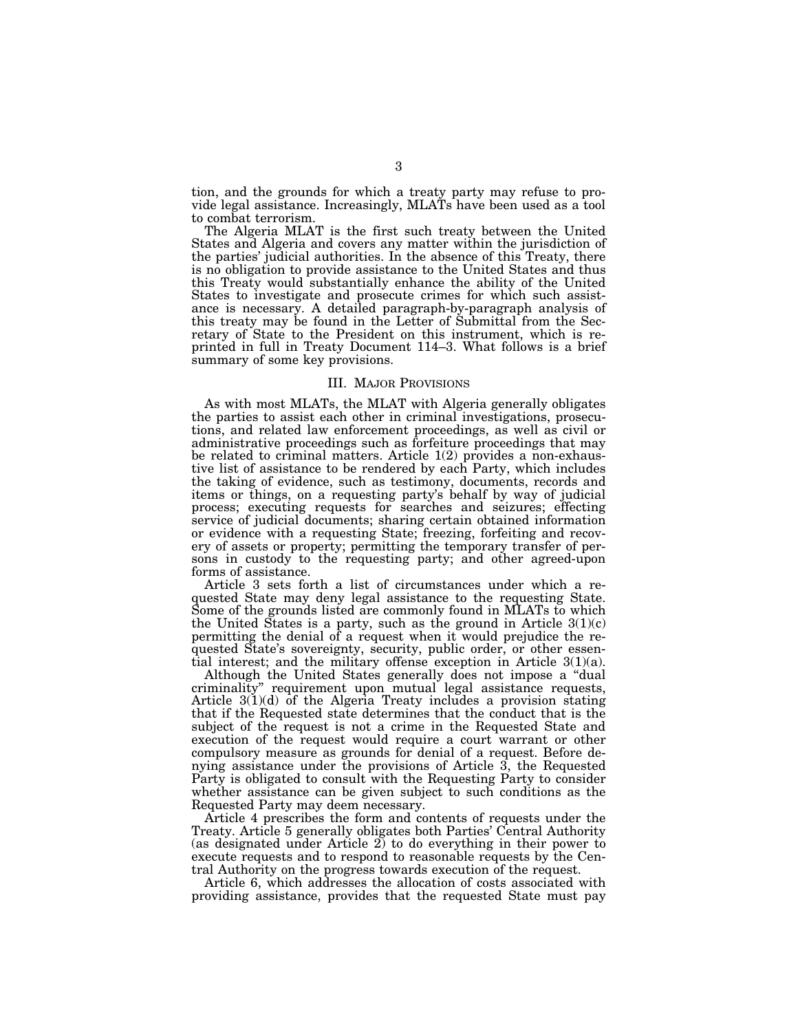tion, and the grounds for which a treaty party may refuse to provide legal assistance. Increasingly, MLATs have been used as a tool to combat terrorism.

The Algeria MLAT is the first such treaty between the United States and Algeria and covers any matter within the jurisdiction of the parties' judicial authorities. In the absence of this Treaty, there is no obligation to provide assistance to the United States and thus this Treaty would substantially enhance the ability of the United States to investigate and prosecute crimes for which such assistance is necessary. A detailed paragraph-by-paragraph analysis of this treaty may be found in the Letter of Submittal from the Secretary of State to the President on this instrument, which is reprinted in full in Treaty Document 114–3. What follows is a brief summary of some key provisions.

#### III. MAJOR PROVISIONS

As with most MLATs, the MLAT with Algeria generally obligates the parties to assist each other in criminal investigations, prosecutions, and related law enforcement proceedings, as well as civil or administrative proceedings such as forfeiture proceedings that may be related to criminal matters. Article 1(2) provides a non-exhaustive list of assistance to be rendered by each Party, which includes the taking of evidence, such as testimony, documents, records and items or things, on a requesting party's behalf by way of judicial process; executing requests for searches and seizures; effecting service of judicial documents; sharing certain obtained information or evidence with a requesting State; freezing, forfeiting and recovery of assets or property; permitting the temporary transfer of persons in custody to the requesting party; and other agreed-upon forms of assistance.

Article 3 sets forth a list of circumstances under which a requested State may deny legal assistance to the requesting State. Some of the grounds listed are commonly found in MLATs to which the United States is a party, such as the ground in Article  $3(1)(c)$ permitting the denial of a request when it would prejudice the requested State's sovereignty, security, public order, or other essential interest; and the military offense exception in Article  $3(1)(a)$ .

Although the United States generally does not impose a ''dual criminality'' requirement upon mutual legal assistance requests, Article 3(1)(d) of the Algeria Treaty includes a provision stating that if the Requested state determines that the conduct that is the subject of the request is not a crime in the Requested State and execution of the request would require a court warrant or other compulsory measure as grounds for denial of a request. Before denying assistance under the provisions of Article 3, the Requested Party is obligated to consult with the Requesting Party to consider whether assistance can be given subject to such conditions as the Requested Party may deem necessary.

Article 4 prescribes the form and contents of requests under the Treaty. Article 5 generally obligates both Parties' Central Authority (as designated under Article 2) to do everything in their power to execute requests and to respond to reasonable requests by the Central Authority on the progress towards execution of the request.

Article 6, which addresses the allocation of costs associated with providing assistance, provides that the requested State must pay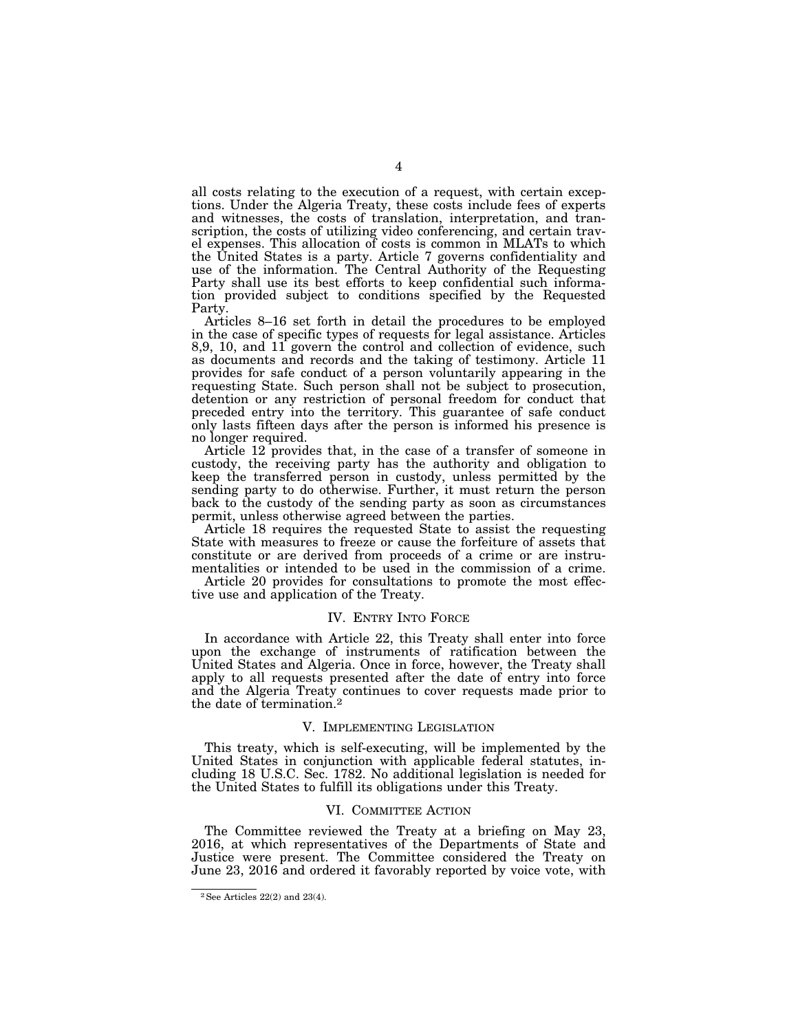all costs relating to the execution of a request, with certain exceptions. Under the Algeria Treaty, these costs include fees of experts and witnesses, the costs of translation, interpretation, and transcription, the costs of utilizing video conferencing, and certain travel expenses. This allocation of costs is common in MLATs to which the United States is a party. Article 7 governs confidentiality and use of the information. The Central Authority of the Requesting Party shall use its best efforts to keep confidential such information provided subject to conditions specified by the Requested Party.

Articles 8–16 set forth in detail the procedures to be employed in the case of specific types of requests for legal assistance. Articles 8,9, 10, and 11 govern the control and collection of evidence, such as documents and records and the taking of testimony. Article 11 provides for safe conduct of a person voluntarily appearing in the requesting State. Such person shall not be subject to prosecution, detention or any restriction of personal freedom for conduct that preceded entry into the territory. This guarantee of safe conduct only lasts fifteen days after the person is informed his presence is no longer required.

Article 12 provides that, in the case of a transfer of someone in custody, the receiving party has the authority and obligation to keep the transferred person in custody, unless permitted by the sending party to do otherwise. Further, it must return the person back to the custody of the sending party as soon as circumstances permit, unless otherwise agreed between the parties.

Article 18 requires the requested State to assist the requesting State with measures to freeze or cause the forfeiture of assets that constitute or are derived from proceeds of a crime or are instrumentalities or intended to be used in the commission of a crime.

Article 20 provides for consultations to promote the most effective use and application of the Treaty.

### IV. ENTRY INTO FORCE

In accordance with Article 22, this Treaty shall enter into force upon the exchange of instruments of ratification between the United States and Algeria. Once in force, however, the Treaty shall apply to all requests presented after the date of entry into force and the Algeria Treaty continues to cover requests made prior to the date of termination.2

# V. IMPLEMENTING LEGISLATION

This treaty, which is self-executing, will be implemented by the United States in conjunction with applicable federal statutes, including 18 U.S.C. Sec. 1782. No additional legislation is needed for the United States to fulfill its obligations under this Treaty.

#### VI. COMMITTEE ACTION

The Committee reviewed the Treaty at a briefing on May 23, 2016, at which representatives of the Departments of State and Justice were present. The Committee considered the Treaty on June 23, 2016 and ordered it favorably reported by voice vote, with

 $^2\rm{See}$  Articles 22(2) and 23(4).